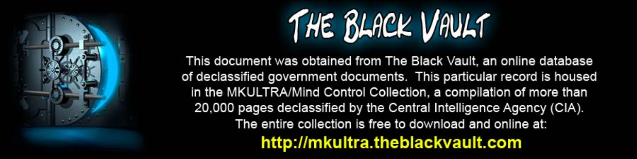

This document was obtained from The Black Vault, an online database of declassified government documents. This particular record is housed in the MKULTRA/Mind Control Collection, a compilation of more than 20,000 pages declassified by the Central Intelligence Agency (CIA). The entire collection is free to download and online at: http://mkultra.theblackvault.com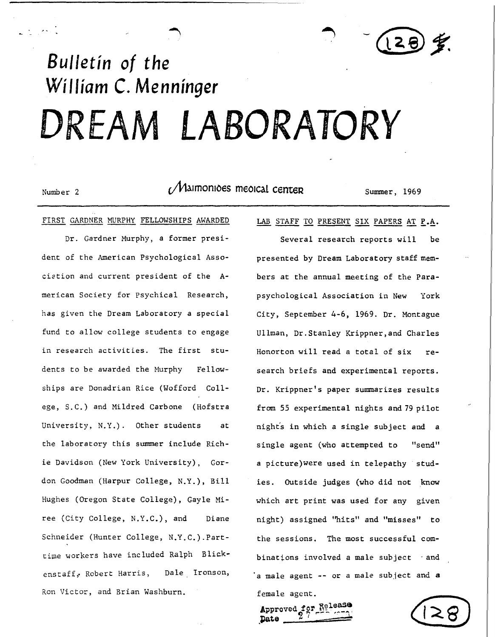(28)重

## *Bulletin of the William* **C.** *Menninger*  **DREAM LABORATORY**

Number 2 **(***Maimonioes meoical center* Summer, 1969

FIRST GARDNER MURPHY FELLOWSHIPS AWARDED

Dr. Gardner Murphy, a former president of the American Psychological Association and current president of the American Society for Psychical Research, has given the Dream Laboratory a special fund to allow college students to engage in research activities. The first students to be awarded the Hurphy Fellowships are Donadrian Rice (Wofford College, S.C.) and Mildred Carbone (Hofstra University, N.Y.). Other students at the laboratory this summer include Richie Davidson (New York University), Gordon Goodman (Harpur College, N.Y.), Bill Hughes (Oregon State College), Gayle Miree (City College, N.Y.C.), and Diane Schneider (Hunter College, N.Y.C.).Parttime workers have included Ralph Blickenstaff, Robert Harris, Dale Ironson, Ron Victor, and Brian Washburn.

LAB STAFF TO PRESENT SIX PAPERS AT P.A.

Several research reports will be presented by Dream Laboratory staff members at the annual meeting of the Parapsychological Association in New York City, September 4-6, 1969. Dr. Montague Ullman, Dr.Stanley Krippner,and Charles Honorton will read a total of six research briefs and experimental reports. Dr. Krippner's paper summarizes results from 55 experimental nights and 79 pilot night's in which a single subject and a single agent (who attempted to "send" a picture) were used in telepathy studies. Outside judges (who did not know which art print was used for any given night) assigned ''hits" and "misses" to the sessions. The most successful combinations involved a male subject  $-$  and ·a male agent -- or a male sub.iect and **a** 

female agent. Approved  $r^{\mu}$  1941

-